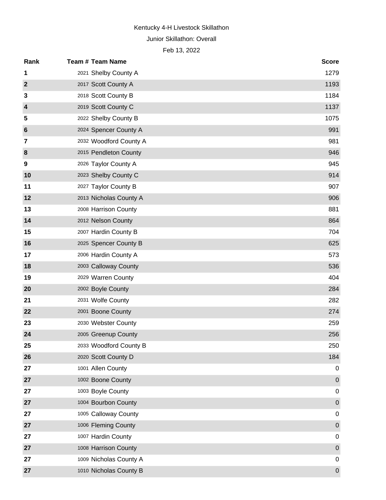#### Junior Skillathon: Overall

| Rank                    | <b>Team # Team Name</b> | <b>Score</b>     |
|-------------------------|-------------------------|------------------|
| 1                       | 2021 Shelby County A    | 1279             |
| $\mathbf{2}$            | 2017 Scott County A     | 1193             |
| 3                       | 2018 Scott County B     | 1184             |
| $\overline{4}$          | 2019 Scott County C     | 1137             |
| 5                       | 2022 Shelby County B    | 1075             |
| $6\phantom{1}6$         | 2024 Spencer County A   | 991              |
| $\overline{\mathbf{z}}$ | 2032 Woodford County A  | 981              |
| 8                       | 2015 Pendleton County   | 946              |
| 9                       | 2026 Taylor County A    | 945              |
| 10                      | 2023 Shelby County C    | 914              |
| 11                      | 2027 Taylor County B    | 907              |
| 12                      | 2013 Nicholas County A  | 906              |
| 13                      | 2008 Harrison County    | 881              |
| 14                      | 2012 Nelson County      | 864              |
| 15                      | 2007 Hardin County B    | 704              |
| 16                      | 2025 Spencer County B   | 625              |
| 17                      | 2006 Hardin County A    | 573              |
| 18                      | 2003 Calloway County    | 536              |
| 19                      | 2029 Warren County      | 404              |
| 20                      | 2002 Boyle County       | 284              |
| 21                      | 2031 Wolfe County       | 282              |
| 22                      | 2001 Boone County       | 274              |
| 23                      | 2030 Webster County     | 259              |
| 24                      | 2005 Greenup County     | 256              |
| 25                      | 2033 Woodford County B  | 250              |
| 26                      | 2020 Scott County D     | 184              |
| 27                      | 1001 Allen County       | 0                |
| 27                      | 1002 Boone County       | $\pmb{0}$        |
| 27                      | 1003 Boyle County       | $\mathbf 0$      |
| 27                      | 1004 Bourbon County     | $\boldsymbol{0}$ |
| 27                      | 1005 Calloway County    | $\mathbf 0$      |
| 27                      | 1006 Fleming County     | $\boldsymbol{0}$ |
| 27                      | 1007 Hardin County      | $\mathbf 0$      |
| 27                      | 1008 Harrison County    | $\boldsymbol{0}$ |
| 27                      | 1009 Nicholas County A  | $\mathbf 0$      |
| 27                      | 1010 Nicholas County B  | $\pmb{0}$        |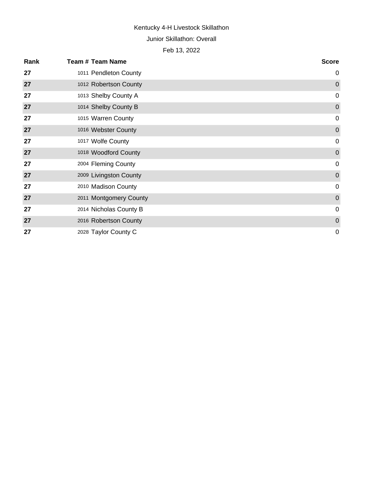#### Junior Skillathon: Overall

| Rank | <b>Team # Team Name</b> | <b>Score</b> |
|------|-------------------------|--------------|
| 27   | 1011 Pendleton County   | $\mathbf 0$  |
| 27   | 1012 Robertson County   | $\mathbf 0$  |
| 27   | 1013 Shelby County A    | $\mathbf 0$  |
| 27   | 1014 Shelby County B    | $\mathbf 0$  |
| 27   | 1015 Warren County      | $\mathbf 0$  |
| 27   | 1016 Webster County     | $\mathbf 0$  |
| 27   | 1017 Wolfe County       | $\mathbf 0$  |
| 27   | 1018 Woodford County    | $\mathbf 0$  |
| 27   | 2004 Fleming County     | $\mathbf 0$  |
| 27   | 2009 Livingston County  | $\mathbf 0$  |
| 27   | 2010 Madison County     | $\mathbf 0$  |
| 27   | 2011 Montgomery County  | $\mathbf 0$  |
| 27   | 2014 Nicholas County B  | $\mathbf 0$  |
| 27   | 2016 Robertson County   | $\mathbf 0$  |
| 27   | 2028 Taylor County C    | $\mathbf 0$  |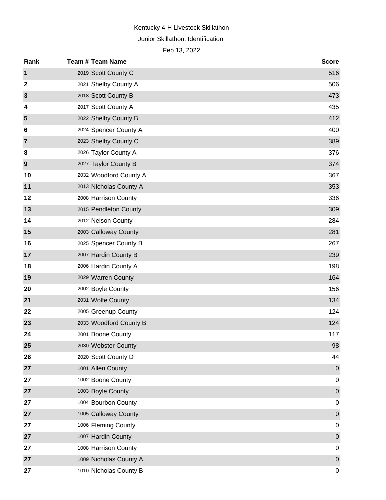# Kentucky 4-H Livestock Skillathon Junior Skillathon: Identification

| Rank             | <b>Team # Team Name</b> | <b>Score</b>     |
|------------------|-------------------------|------------------|
| 1                | 2019 Scott County C     | 516              |
| $\boldsymbol{2}$ | 2021 Shelby County A    | 506              |
| $\mathbf{3}$     | 2018 Scott County B     | 473              |
| 4                | 2017 Scott County A     | 435              |
| 5                | 2022 Shelby County B    | 412              |
| 6                | 2024 Spencer County A   | 400              |
| $\overline{7}$   | 2023 Shelby County C    | 389              |
| 8                | 2026 Taylor County A    | 376              |
| 9                | 2027 Taylor County B    | 374              |
| 10               | 2032 Woodford County A  | 367              |
| 11               | 2013 Nicholas County A  | 353              |
| 12               | 2008 Harrison County    | 336              |
| 13               | 2015 Pendleton County   | 309              |
| 14               | 2012 Nelson County      | 284              |
| 15               | 2003 Calloway County    | 281              |
| 16               | 2025 Spencer County B   | 267              |
| 17               | 2007 Hardin County B    | 239              |
| 18               | 2006 Hardin County A    | 198              |
| 19               | 2029 Warren County      | 164              |
| 20               | 2002 Boyle County       | 156              |
| 21               | 2031 Wolfe County       | 134              |
| 22               | 2005 Greenup County     | 124              |
| 23               | 2033 Woodford County B  | 124              |
| 24               | 2001 Boone County       | 117              |
| 25               | 2030 Webster County     | 98               |
| 26               | 2020 Scott County D     | 44               |
| 27               | 1001 Allen County       | $\pmb{0}$        |
| 27               | 1002 Boone County       | 0                |
| 27               | 1003 Boyle County       | $\boldsymbol{0}$ |
| 27               | 1004 Bourbon County     | 0                |
| 27               | 1005 Calloway County    | $\pmb{0}$        |
| 27               | 1006 Fleming County     | 0                |
| 27               | 1007 Hardin County      | $\boldsymbol{0}$ |
| 27               | 1008 Harrison County    | 0                |
| 27               | 1009 Nicholas County A  | $\pmb{0}$        |
| 27               | 1010 Nicholas County B  | 0                |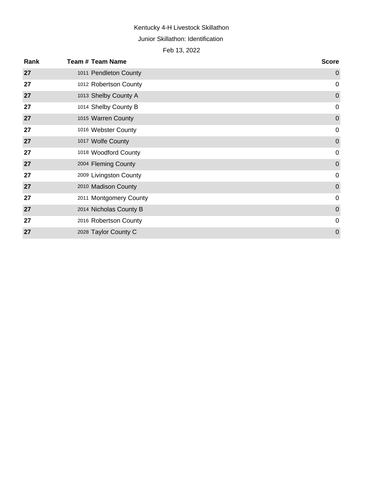# Junior Skillathon: Identification

| Rank | Team # Team Name       | <b>Score</b>     |
|------|------------------------|------------------|
| 27   | 1011 Pendleton County  | $\mathbf 0$      |
| 27   | 1012 Robertson County  | 0                |
| 27   | 1013 Shelby County A   | $\boldsymbol{0}$ |
| 27   | 1014 Shelby County B   | $\mathbf 0$      |
| 27   | 1015 Warren County     | $\boldsymbol{0}$ |
| 27   | 1016 Webster County    | $\mathbf 0$      |
| 27   | 1017 Wolfe County      | $\mathbf 0$      |
| 27   | 1018 Woodford County   | $\mathbf 0$      |
| 27   | 2004 Fleming County    | $\boldsymbol{0}$ |
| 27   | 2009 Livingston County | $\mathbf 0$      |
| 27   | 2010 Madison County    | $\mathbf 0$      |
| 27   | 2011 Montgomery County | $\overline{0}$   |
| 27   | 2014 Nicholas County B | $\mathbf 0$      |
| 27   | 2016 Robertson County  | 0                |
| 27   | 2028 Taylor County C   | $\mathbf 0$      |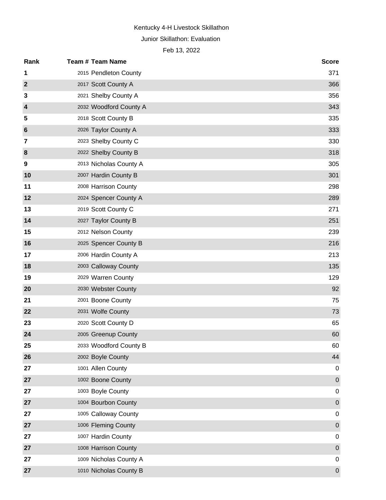Junior Skillathon: Evaluation

| Rank            | <b>Team # Team Name</b> | <b>Score</b>     |
|-----------------|-------------------------|------------------|
| 1               | 2015 Pendleton County   | 371              |
| $\mathbf{2}$    | 2017 Scott County A     | 366              |
| 3               | 2021 Shelby County A    | 356              |
| $\overline{4}$  | 2032 Woodford County A  | 343              |
| 5               | 2018 Scott County B     | 335              |
| $6\phantom{1}6$ | 2026 Taylor County A    | 333              |
| 7               | 2023 Shelby County C    | 330              |
| 8               | 2022 Shelby County B    | 318              |
| 9               | 2013 Nicholas County A  | 305              |
| 10              | 2007 Hardin County B    | 301              |
| 11              | 2008 Harrison County    | 298              |
| 12              | 2024 Spencer County A   | 289              |
| 13              | 2019 Scott County C     | 271              |
| 14              | 2027 Taylor County B    | 251              |
| 15              | 2012 Nelson County      | 239              |
| 16              | 2025 Spencer County B   | 216              |
| 17              | 2006 Hardin County A    | 213              |
| 18              | 2003 Calloway County    | 135              |
| 19              | 2029 Warren County      | 129              |
| 20              | 2030 Webster County     | 92               |
| 21              | 2001 Boone County       | 75               |
| 22              | 2031 Wolfe County       | 73               |
| 23              | 2020 Scott County D     | 65               |
| 24              | 2005 Greenup County     | 60               |
| 25              | 2033 Woodford County B  | 60               |
| 26              | 2002 Boyle County       | 44               |
| 27              | 1001 Allen County       | 0                |
| 27              | 1002 Boone County       | $\boldsymbol{0}$ |
| 27              | 1003 Boyle County       | 0                |
| 27              | 1004 Bourbon County     | $\mathbf 0$      |
| 27              | 1005 Calloway County    | 0                |
| 27              | 1006 Fleming County     | $\mathbf 0$      |
| 27              | 1007 Hardin County      | 0                |
| 27              | 1008 Harrison County    | $\mathbf 0$      |
| 27              | 1009 Nicholas County A  | 0                |
| 27              | 1010 Nicholas County B  | $\pmb{0}$        |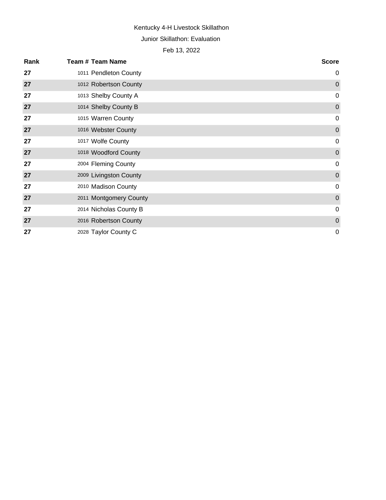#### Junior Skillathon: Evaluation

| Rank | <b>Team # Team Name</b> | <b>Score</b>     |
|------|-------------------------|------------------|
| 27   | 1011 Pendleton County   | $\mathbf 0$      |
| 27   | 1012 Robertson County   | $\mathbf 0$      |
| 27   | 1013 Shelby County A    | $\mathbf 0$      |
| 27   | 1014 Shelby County B    | $\boldsymbol{0}$ |
| 27   | 1015 Warren County      | 0                |
| 27   | 1016 Webster County     | $\mathbf 0$      |
| 27   | 1017 Wolfe County       | $\pmb{0}$        |
| 27   | 1018 Woodford County    | $\overline{0}$   |
| 27   | 2004 Fleming County     | $\mathbf 0$      |
| 27   | 2009 Livingston County  | $\boldsymbol{0}$ |
| 27   | 2010 Madison County     | $\mathbf 0$      |
| 27   | 2011 Montgomery County  | $\mathbf 0$      |
| 27   | 2014 Nicholas County B  | $\mathbf 0$      |
| 27   | 2016 Robertson County   | $\boldsymbol{0}$ |
| 27   | 2028 Taylor County C    | $\mathbf 0$      |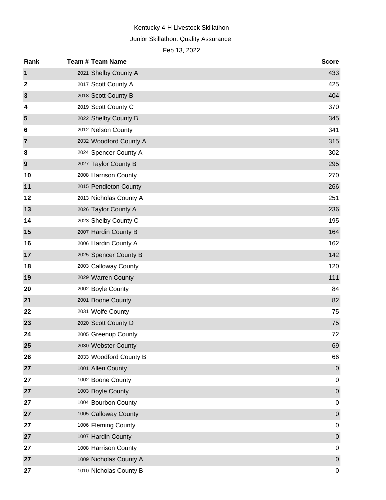## Junior Skillathon: Quality Assurance

| Rank           | <b>Team # Team Name</b> | <b>Score</b> |
|----------------|-------------------------|--------------|
| 1              | 2021 Shelby County A    | 433          |
| $\mathbf{2}$   | 2017 Scott County A     | 425          |
| $\mathbf{3}$   | 2018 Scott County B     | 404          |
| 4              | 2019 Scott County C     | 370          |
| 5              | 2022 Shelby County B    | 345          |
| 6              | 2012 Nelson County      | 341          |
| $\overline{7}$ | 2032 Woodford County A  | 315          |
| 8              | 2024 Spencer County A   | 302          |
| 9              | 2027 Taylor County B    | 295          |
| 10             | 2008 Harrison County    | 270          |
| 11             | 2015 Pendleton County   | 266          |
| 12             | 2013 Nicholas County A  | 251          |
| 13             | 2026 Taylor County A    | 236          |
| 14             | 2023 Shelby County C    | 195          |
| 15             | 2007 Hardin County B    | 164          |
| 16             | 2006 Hardin County A    | 162          |
| 17             | 2025 Spencer County B   | 142          |
| 18             | 2003 Calloway County    | 120          |
| 19             | 2029 Warren County      | 111          |
| 20             | 2002 Boyle County       | 84           |
| 21             | 2001 Boone County       | 82           |
| 22             | 2031 Wolfe County       | 75           |
| 23             | 2020 Scott County D     | 75           |
| 24             | 2005 Greenup County     | 72           |
| 25             | 2030 Webster County     | 69           |
| 26             | 2033 Woodford County B  | 66           |
| 27             | 1001 Allen County       | $\mathbf 0$  |
| 27             | 1002 Boone County       | 0            |
| 27             | 1003 Boyle County       | $\pmb{0}$    |
| 27             | 1004 Bourbon County     | 0            |
| 27             | 1005 Calloway County    | $\pmb{0}$    |
| 27             | 1006 Fleming County     | 0            |
| 27             | 1007 Hardin County      | $\pmb{0}$    |
| 27             | 1008 Harrison County    | 0            |
| 27             | 1009 Nicholas County A  | $\pmb{0}$    |
| 27             | 1010 Nicholas County B  | 0            |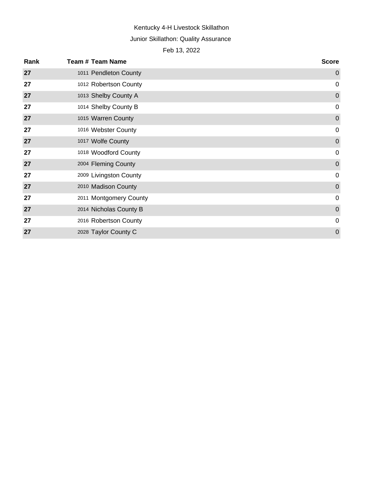## Junior Skillathon: Quality Assurance

| Rank | <b>Team # Team Name</b> | <b>Score</b>     |
|------|-------------------------|------------------|
| 27   | 1011 Pendleton County   | $\mathbf 0$      |
| 27   | 1012 Robertson County   | $\mathbf 0$      |
| 27   | 1013 Shelby County A    | $\boldsymbol{0}$ |
| 27   | 1014 Shelby County B    | 0                |
| 27   | 1015 Warren County      | $\mathbf 0$      |
| 27   | 1016 Webster County     | $\mathbf 0$      |
| 27   | 1017 Wolfe County       | $\mathbf 0$      |
| 27   | 1018 Woodford County    | $\mathbf 0$      |
| 27   | 2004 Fleming County     | $\boldsymbol{0}$ |
| 27   | 2009 Livingston County  | $\mathbf 0$      |
| 27   | 2010 Madison County     | $\mathbf 0$      |
| 27   | 2011 Montgomery County  | $\overline{0}$   |
| 27   | 2014 Nicholas County B  | $\mathbf 0$      |
| 27   | 2016 Robertson County   | 0                |
| 27   | 2028 Taylor County C    | $\mathbf 0$      |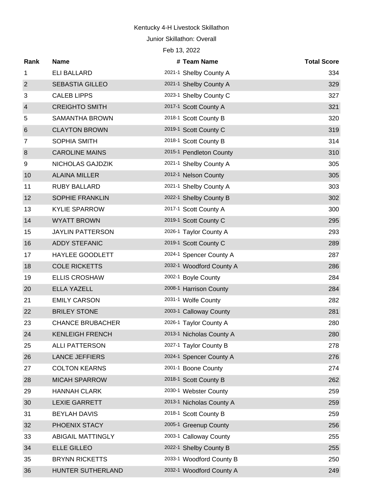Junior Skillathon: Overall

| Rank             | <b>Name</b>              | # Team Name              | <b>Total Score</b> |
|------------------|--------------------------|--------------------------|--------------------|
| 1                | <b>ELI BALLARD</b>       | 2021-1 Shelby County A   | 334                |
| $\overline{2}$   | <b>SEBASTIA GILLEO</b>   | 2021-1 Shelby County A   | 329                |
| 3                | <b>CALEB LIPPS</b>       | 2023-1 Shelby County C   | 327                |
| $\overline{4}$   | <b>CREIGHTO SMITH</b>    | 2017-1 Scott County A    | 321                |
| 5                | <b>SAMANTHA BROWN</b>    | 2018-1 Scott County B    | 320                |
| $6\phantom{1}6$  | <b>CLAYTON BROWN</b>     | 2019-1 Scott County C    | 319                |
| 7                | <b>SOPHIA SMITH</b>      | 2018-1 Scott County B    | 314                |
| $\boldsymbol{8}$ | <b>CAROLINE MAINS</b>    | 2015-1 Pendleton County  | 310                |
| 9                | NICHOLAS GAJDZIK         | 2021-1 Shelby County A   | 305                |
| 10               | <b>ALAINA MILLER</b>     | 2012-1 Nelson County     | 305                |
| 11               | <b>RUBY BALLARD</b>      | 2021-1 Shelby County A   | 303                |
| 12               | SOPHIE FRANKLIN          | 2022-1 Shelby County B   | 302                |
| 13               | <b>KYLIE SPARROW</b>     | 2017-1 Scott County A    | 300                |
| 14               | <b>WYATT BROWN</b>       | 2019-1 Scott County C    | 295                |
| 15               | <b>JAYLIN PATTERSON</b>  | 2026-1 Taylor County A   | 293                |
| 16               | <b>ADDY STEFANIC</b>     | 2019-1 Scott County C    | 289                |
| 17               | <b>HAYLEE GOODLETT</b>   | 2024-1 Spencer County A  | 287                |
| 18               | <b>COLE RICKETTS</b>     | 2032-1 Woodford County A | 286                |
| 19               | <b>ELLIS CROSHAW</b>     | 2002-1 Boyle County      | 284                |
| 20               | <b>ELLA YAZELL</b>       | 2008-1 Harrison County   | 284                |
| 21               | <b>EMILY CARSON</b>      | 2031-1 Wolfe County      | 282                |
| 22               | <b>BRILEY STONE</b>      | 2003-1 Calloway County   | 281                |
| 23               | <b>CHANCE BRUBACHER</b>  | 2026-1 Taylor County A   | 280                |
| 24               | <b>KENLEIGH FRENCH</b>   | 2013-1 Nicholas County A | 280                |
| 25               | <b>ALLI PATTERSON</b>    | 2027-1 Taylor County B   | 278                |
| 26               | <b>LANCE JEFFIERS</b>    | 2024-1 Spencer County A  | 276                |
| 27               | <b>COLTON KEARNS</b>     | 2001-1 Boone County      | 274                |
| 28               | <b>MICAH SPARROW</b>     | 2018-1 Scott County B    | 262                |
| 29               | <b>HANNAH CLARK</b>      | 2030-1 Webster County    | 259                |
| 30               | <b>LEXIE GARRETT</b>     | 2013-1 Nicholas County A | 259                |
| 31               | <b>BEYLAH DAVIS</b>      | 2018-1 Scott County B    | 259                |
| 32               | PHOENIX STACY            | 2005-1 Greenup County    | 256                |
| 33               | <b>ABIGAIL MATTINGLY</b> | 2003-1 Calloway County   | 255                |
| 34               | <b>ELLE GILLEO</b>       | 2022-1 Shelby County B   | 255                |
| 35               | <b>BRYNN RICKETTS</b>    | 2033-1 Woodford County B | 250                |
| 36               | HUNTER SUTHERLAND        | 2032-1 Woodford County A | 249                |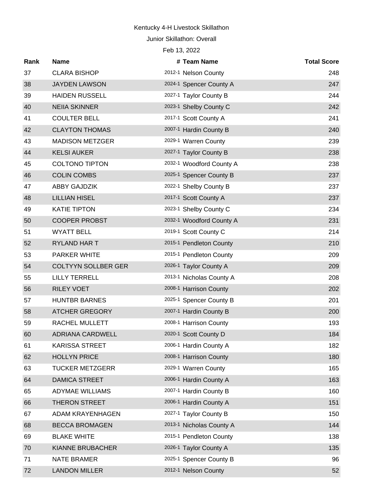Junior Skillathon: Overall

| Rank | <b>Name</b>                | # Team Name              | <b>Total Score</b> |
|------|----------------------------|--------------------------|--------------------|
| 37   | <b>CLARA BISHOP</b>        | 2012-1 Nelson County     | 248                |
| 38   | <b>JAYDEN LAWSON</b>       | 2024-1 Spencer County A  | 247                |
| 39   | <b>HAIDEN RUSSELL</b>      | 2027-1 Taylor County B   | 244                |
| 40   | <b>NEIIA SKINNER</b>       | 2023-1 Shelby County C   | 242                |
| 41   | <b>COULTER BELL</b>        | 2017-1 Scott County A    | 241                |
| 42   | <b>CLAYTON THOMAS</b>      | 2007-1 Hardin County B   | 240                |
| 43   | <b>MADISON METZGER</b>     | 2029-1 Warren County     | 239                |
| 44   | <b>KELSI AUKER</b>         | 2027-1 Taylor County B   | 238                |
| 45   | <b>COLTONO TIPTON</b>      | 2032-1 Woodford County A | 238                |
| 46   | <b>COLIN COMBS</b>         | 2025-1 Spencer County B  | 237                |
| 47   | <b>ABBY GAJDZIK</b>        | 2022-1 Shelby County B   | 237                |
| 48   | <b>LILLIAN HISEL</b>       | 2017-1 Scott County A    | 237                |
| 49   | <b>KATIE TIPTON</b>        | 2023-1 Shelby County C   | 234                |
| 50   | <b>COOPER PROBST</b>       | 2032-1 Woodford County A | 231                |
| 51   | <b>WYATT BELL</b>          | 2019-1 Scott County C    | 214                |
| 52   | <b>RYLAND HAR T</b>        | 2015-1 Pendleton County  | 210                |
| 53   | PARKER WHITE               | 2015-1 Pendleton County  | 209                |
| 54   | <b>COLTYYN SOLLBER GER</b> | 2026-1 Taylor County A   | 209                |
| 55   | <b>LILLY TERRELL</b>       | 2013-1 Nicholas County A | 208                |
| 56   | <b>RILEY VOET</b>          | 2008-1 Harrison County   | 202                |
| 57   | <b>HUNTBR BARNES</b>       | 2025-1 Spencer County B  | 201                |
| 58   | <b>ATCHER GREGORY</b>      | 2007-1 Hardin County B   | 200                |
| 59   | RACHEL MULLETT             | 2008-1 Harrison County   | 193                |
| 60   | <b>ADRIANA CARDWELL</b>    | 2020-1 Scott County D    | 184                |
| 61   | KARISSA STREET             | 2006-1 Hardin County A   | 182                |
| 62   | <b>HOLLYN PRICE</b>        | 2008-1 Harrison County   | 180                |
| 63   | <b>TUCKER METZGERR</b>     | 2029-1 Warren County     | 165                |
| 64   | <b>DAMICA STREET</b>       | 2006-1 Hardin County A   | 163                |
| 65   | <b>ADYMAE WILLIAMS</b>     | 2007-1 Hardin County B   | 160                |
| 66   | <b>THERON STREET</b>       | 2006-1 Hardin County A   | 151                |
| 67   | ADAM KRAYENHAGEN           | 2027-1 Taylor County B   | 150                |
| 68   | <b>BECCA BROMAGEN</b>      | 2013-1 Nicholas County A | 144                |
| 69   | <b>BLAKE WHITE</b>         | 2015-1 Pendleton County  | 138                |
| 70   | KIANNE BRUBACHER           | 2026-1 Taylor County A   | 135                |
| 71   | <b>NATE BRAMER</b>         | 2025-1 Spencer County B  | 96                 |
| 72   | <b>LANDON MILLER</b>       | 2012-1 Nelson County     | 52                 |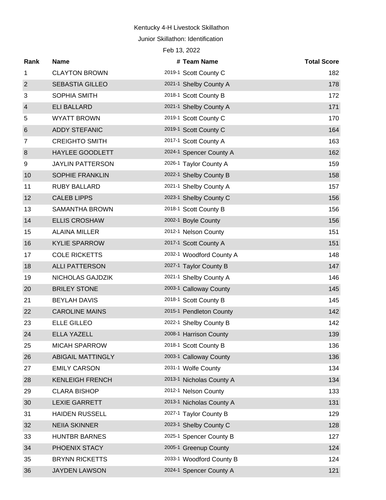Junior Skillathon: Identification Feb 13, 2022

**Rank Name # Team Name Total Score** 1 CLAYTON BROWN 2019-1 Scott County C 2019-1 SCOTT 2019-1 SCOTT COUNTER 182 2 SEBASTIA GILLEO 2021-1 Shelby County A 2021-1 2021-1 Shelby County A 3 SOPHIA SMITH 2018-1 Scott County B 172 4 ELI BALLARD 2021-1 Shelby County A 171 5 WYATT BROWN 2019-1 Scott County C 170 6 ADDY STEFANIC <sup>2019-1</sup> Scott County C <sup>2019-1</sup> Scott County C 7 CREIGHTO SMITH 2017-1 Scott County A 163 8 HAYLEE GOODLETT 2024-1 Spencer County A 162 9 JAYLIN PATTERSON 2026-1 Taylor County A 159 10 SOPHIE FRANKLIN 2022-1 Shelby County B 158 11 RUBY BALLARD 2021-1 Shelby County A 157 12 CALEB LIPPS 2023-1 Shelby County C 2021 2023-1 Shelby County C 13 SAMANTHA BROWN 2018-1 Scott County B 2018-1 STATES 2018-1 SCOTT SCOTT ASSESSMENT RESERVE ASSESSMENT RESERVE 14 ELLIS CROSHAW 2002-1 Boyle County 156 15 ALAINA MILLER 2012-1 Nelson County 2012-1 Nelson County 16 KYLIE SPARROW 2017-1 Scott County A 151 17 COLE RICKETTS 2032-1 Woodford County A 2021 18 ALLI PATTERSON 2027-1 Taylor County B 2021 147 19 NICHOLAS GAJDZIK 2021-1 Shelby County A 146 20 BRILEY STONE 2003-1 Calloway County 145 21 BEYLAH DAVIS 2018-1 Scott County B 2018-1 Strategy 2018-1 22 CAROLINE MAINS 2015-1 Pendleton County 2015-1 2015-1 Pendleton County 23 ELLE GILLEO 2022-1 Shelby County B 2021 24 ELLA YAZELL 2008-1 Harrison County 2008-1 2008-1 2008-1 2008-1 2008-1 2008-1 2008-1 2008-1 2008-1 2008-1 20 25 MICAH SPARROW 2018-1 Scott County B 136 26 ABIGAIL MATTINGLY 2003-1 Calloway County 2003-1 2003-1 2003-1 2003-1 2003-1 2010 27 EMILY CARSON 2031-1 Wolfe County 134 28 KENLEIGH FRENCH 2013-1 Nicholas County A 134 29 CLARA BISHOP 2012-1 Nelson County 133 30 LEXIE GARRETT 2013-1 Nicholas County A 131 31 HAIDEN RUSSELL 2027-1 Taylor County B 129 32 NEIIA SKINNER 2023-1 Shelby County C 128 33 HUNTBR BARNES 2025-1 Spencer County B 27 34 PHOENIX STACY 2005-1 Greenup County 124 35 BRYNN RICKETTS 2033-1 Woodford County B 124

36 JAYDEN LAWSON 2024-1 Spencer County A 121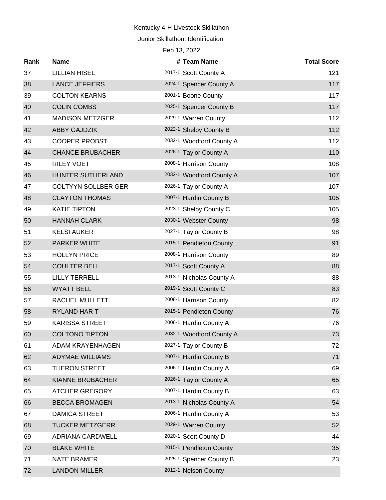Junior Skillathon: Identification

| Feb 13, 2022 |                            |  |                          |                    |  |
|--------------|----------------------------|--|--------------------------|--------------------|--|
| Rank         | <b>Name</b>                |  | # Team Name              | <b>Total Score</b> |  |
| 37           | <b>LILLIAN HISEL</b>       |  | 2017-1 Scott County A    | 121                |  |
| 38           | <b>LANCE JEFFIERS</b>      |  | 2024-1 Spencer County A  | 117                |  |
| 39           | <b>COLTON KEARNS</b>       |  | 2001-1 Boone County      | 117                |  |
| 40           | <b>COLIN COMBS</b>         |  | 2025-1 Spencer County B  | 117                |  |
| 41           | <b>MADISON METZGER</b>     |  | 2029-1 Warren County     | 112                |  |
| 42           | <b>ABBY GAJDZIK</b>        |  | 2022-1 Shelby County B   | 112                |  |
| 43           | <b>COOPER PROBST</b>       |  | 2032-1 Woodford County A | 112                |  |
| 44           | <b>CHANCE BRUBACHER</b>    |  | 2026-1 Taylor County A   | 110                |  |
| 45           | <b>RILEY VOET</b>          |  | 2008-1 Harrison County   | 108                |  |
| 46           | HUNTER SUTHERLAND          |  | 2032-1 Woodford County A | 107                |  |
| 47           | <b>COLTYYN SOLLBER GER</b> |  | 2026-1 Taylor County A   | 107                |  |
| 48           | <b>CLAYTON THOMAS</b>      |  | 2007-1 Hardin County B   | 105                |  |
| 49           | <b>KATIE TIPTON</b>        |  | 2023-1 Shelby County C   | 105                |  |
| 50           | <b>HANNAH CLARK</b>        |  | 2030-1 Webster County    | 98                 |  |
| 51           | <b>KELSI AUKER</b>         |  | 2027-1 Taylor County B   | 98                 |  |
| 52           | <b>PARKER WHITE</b>        |  | 2015-1 Pendleton County  | 91                 |  |
| 53           | <b>HOLLYN PRICE</b>        |  | 2008-1 Harrison County   | 89                 |  |
| 54           | <b>COULTER BELL</b>        |  | 2017-1 Scott County A    | 88                 |  |
| 55           | <b>LILLY TERRELL</b>       |  | 2013-1 Nicholas County A | 88                 |  |
| 56           | <b>WYATT BELL</b>          |  | 2019-1 Scott County C    | 83                 |  |
| 57           | RACHEL MULLETT             |  | 2008-1 Harrison County   | 82                 |  |
| 58           | RYLAND HAR T               |  | 2015-1 Pendleton County  | 76                 |  |
| 59           | <b>KARISSA STREET</b>      |  | 2006-1 Hardin County A   | 76                 |  |
| 60           | <b>COLTONO TIPTON</b>      |  | 2032-1 Woodford County A | 73                 |  |
| 61           | <b>ADAM KRAYENHAGEN</b>    |  | 2027-1 Taylor County B   | 72                 |  |
| 62           | <b>ADYMAE WILLIAMS</b>     |  | 2007-1 Hardin County B   | 71                 |  |
| 63           | <b>THERON STREET</b>       |  | 2006-1 Hardin County A   | 69                 |  |
| 64           | KIANNE BRUBACHER           |  | 2026-1 Taylor County A   | 65                 |  |
| 65           | <b>ATCHER GREGORY</b>      |  | 2007-1 Hardin County B   | 63                 |  |
| 66           | <b>BECCA BROMAGEN</b>      |  | 2013-1 Nicholas County A | 54                 |  |
| 67           | <b>DAMICA STREET</b>       |  | 2006-1 Hardin County A   | 53                 |  |
| 68           | <b>TUCKER METZGERR</b>     |  | 2029-1 Warren County     | 52                 |  |
| 69           | <b>ADRIANA CARDWELL</b>    |  | 2020-1 Scott County D    | 44                 |  |
| 70           | <b>BLAKE WHITE</b>         |  | 2015-1 Pendleton County  | 35                 |  |
| 71           | <b>NATE BRAMER</b>         |  | 2025-1 Spencer County B  | 23                 |  |
| 72           | <b>LANDON MILLER</b>       |  | 2012-1 Nelson County     |                    |  |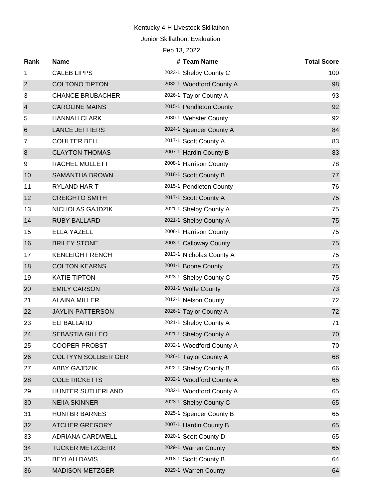Junior Skillathon: Evaluation

| Rank             | <b>Name</b>                | # Team Name              | <b>Total Score</b> |
|------------------|----------------------------|--------------------------|--------------------|
| $\mathbf{1}$     | <b>CALEB LIPPS</b>         | 2023-1 Shelby County C   | 100                |
| $\overline{2}$   | <b>COLTONO TIPTON</b>      | 2032-1 Woodford County A | 98                 |
| 3                | <b>CHANCE BRUBACHER</b>    | 2026-1 Taylor County A   | 93                 |
| $\overline{4}$   | <b>CAROLINE MAINS</b>      | 2015-1 Pendleton County  | 92                 |
| 5                | <b>HANNAH CLARK</b>        | 2030-1 Webster County    | 92                 |
| $6\phantom{1}6$  | <b>LANCE JEFFIERS</b>      | 2024-1 Spencer County A  | 84                 |
| 7                | <b>COULTER BELL</b>        | 2017-1 Scott County A    | 83                 |
| $\boldsymbol{8}$ | <b>CLAYTON THOMAS</b>      | 2007-1 Hardin County B   | 83                 |
| 9                | RACHEL MULLETT             | 2008-1 Harrison County   | 78                 |
| 10               | <b>SAMANTHA BROWN</b>      | 2018-1 Scott County B    | 77                 |
| 11               | RYLAND HAR T               | 2015-1 Pendleton County  | 76                 |
| 12               | <b>CREIGHTO SMITH</b>      | 2017-1 Scott County A    | 75                 |
| 13               | NICHOLAS GAJDZIK           | 2021-1 Shelby County A   | 75                 |
| 14               | <b>RUBY BALLARD</b>        | 2021-1 Shelby County A   | 75                 |
| 15               | <b>ELLA YAZELL</b>         | 2008-1 Harrison County   | 75                 |
| 16               | <b>BRILEY STONE</b>        | 2003-1 Calloway County   | 75                 |
| 17               | <b>KENLEIGH FRENCH</b>     | 2013-1 Nicholas County A | 75                 |
| 18               | <b>COLTON KEARNS</b>       | 2001-1 Boone County      | 75                 |
| 19               | <b>KATIE TIPTON</b>        | 2023-1 Shelby County C   | 75                 |
| 20               | <b>EMILY CARSON</b>        | 2031-1 Wolfe County      | 73                 |
| 21               | <b>ALAINA MILLER</b>       | 2012-1 Nelson County     | 72                 |
| 22               | <b>JAYLIN PATTERSON</b>    | 2026-1 Taylor County A   | 72                 |
| 23               | <b>ELI BALLARD</b>         | 2021-1 Shelby County A   | 71                 |
| 24               | <b>SEBASTIA GILLEO</b>     | 2021-1 Shelby County A   | 70                 |
| 25               | <b>COOPER PROBST</b>       | 2032-1 Woodford County A | 70                 |
| 26               | <b>COLTYYN SOLLBER GER</b> | 2026-1 Taylor County A   | 68                 |
| 27               | ABBY GAJDZIK               | 2022-1 Shelby County B   | 66                 |
| 28               | <b>COLE RICKETTS</b>       | 2032-1 Woodford County A | 65                 |
| 29               | HUNTER SUTHERLAND          | 2032-1 Woodford County A | 65                 |
| 30               | <b>NEIIA SKINNER</b>       | 2023-1 Shelby County C   | 65                 |
| 31               | <b>HUNTBR BARNES</b>       | 2025-1 Spencer County B  | 65                 |
| 32               | <b>ATCHER GREGORY</b>      | 2007-1 Hardin County B   | 65                 |
| 33               | ADRIANA CARDWELL           | 2020-1 Scott County D    | 65                 |
| 34               | <b>TUCKER METZGERR</b>     | 2029-1 Warren County     | 65                 |
| 35               | <b>BEYLAH DAVIS</b>        | 2018-1 Scott County B    | 64                 |
| 36               | <b>MADISON METZGER</b>     | 2029-1 Warren County     | 64                 |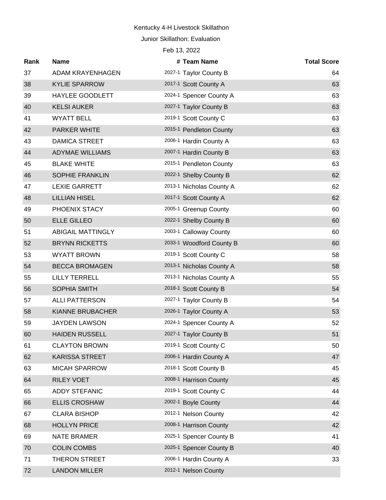Junior Skillathon: Evaluation

| Rank | <b>Name</b>              | # Team Name              | <b>Total Score</b> |
|------|--------------------------|--------------------------|--------------------|
| 37   | ADAM KRAYENHAGEN         | 2027-1 Taylor County B   | 64                 |
| 38   | <b>KYLIE SPARROW</b>     | 2017-1 Scott County A    | 63                 |
| 39   | HAYLEE GOODLETT          | 2024-1 Spencer County A  | 63                 |
| 40   | <b>KELSI AUKER</b>       | 2027-1 Taylor County B   | 63                 |
| 41   | <b>WYATT BELL</b>        | 2019-1 Scott County C    | 63                 |
| 42   | <b>PARKER WHITE</b>      | 2015-1 Pendleton County  | 63                 |
| 43   | <b>DAMICA STREET</b>     | 2006-1 Hardin County A   | 63                 |
| 44   | <b>ADYMAE WILLIAMS</b>   | 2007-1 Hardin County B   | 63                 |
| 45   | <b>BLAKE WHITE</b>       | 2015-1 Pendleton County  | 63                 |
| 46   | <b>SOPHIE FRANKLIN</b>   | 2022-1 Shelby County B   | 62                 |
| 47   | <b>LEXIE GARRETT</b>     | 2013-1 Nicholas County A | 62                 |
| 48   | <b>LILLIAN HISEL</b>     | 2017-1 Scott County A    | 62                 |
| 49   | PHOENIX STACY            | 2005-1 Greenup County    | 60                 |
| 50   | <b>ELLE GILLEO</b>       | 2022-1 Shelby County B   | 60                 |
| 51   | <b>ABIGAIL MATTINGLY</b> | 2003-1 Calloway County   | 60                 |
| 52   | <b>BRYNN RICKETTS</b>    | 2033-1 Woodford County B | 60                 |
| 53   | <b>WYATT BROWN</b>       | 2019-1 Scott County C    | 58                 |
| 54   | <b>BECCA BROMAGEN</b>    | 2013-1 Nicholas County A | 58                 |
| 55   | <b>LILLY TERRELL</b>     | 2013-1 Nicholas County A | 55                 |
| 56   | SOPHIA SMITH             | 2018-1 Scott County B    | 54                 |
| 57   | <b>ALLI PATTERSON</b>    | 2027-1 Taylor County B   | 54                 |
| 58   | KIANNE BRUBACHER         | 2026-1 Taylor County A   | 53                 |
| 59   | <b>JAYDEN LAWSON</b>     | 2024-1 Spencer County A  | 52                 |
| 60   | <b>HAIDEN RUSSELL</b>    | 2027-1 Taylor County B   | 51                 |
| 61   | <b>CLAYTON BROWN</b>     | 2019-1 Scott County C    | 50                 |
| 62   | <b>KARISSA STREET</b>    | 2006-1 Hardin County A   | 47                 |
| 63   | <b>MICAH SPARROW</b>     | 2018-1 Scott County B    | 45                 |
| 64   | <b>RILEY VOET</b>        | 2008-1 Harrison County   | 45                 |
| 65   | <b>ADDY STEFANIC</b>     | 2019-1 Scott County C    | 44                 |
| 66   | <b>ELLIS CROSHAW</b>     | 2002-1 Boyle County      | 44                 |
| 67   | <b>CLARA BISHOP</b>      | 2012-1 Nelson County     | 42                 |
| 68   | <b>HOLLYN PRICE</b>      | 2008-1 Harrison County   | 42                 |
| 69   | <b>NATE BRAMER</b>       | 2025-1 Spencer County B  | 41                 |
| 70   | <b>COLIN COMBS</b>       | 2025-1 Spencer County B  | 40                 |
| 71   | <b>THERON STREET</b>     | 2006-1 Hardin County A   | 33                 |
| 72   | <b>LANDON MILLER</b>     | 2012-1 Nelson County     |                    |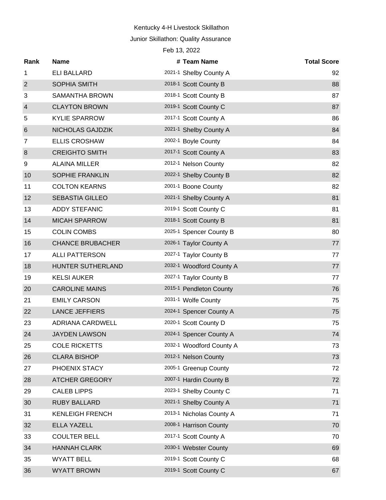#### Junior Skillathon: Quality Assurance

| Feb 13, 2022   |                         |  |                          |                    |  |  |  |
|----------------|-------------------------|--|--------------------------|--------------------|--|--|--|
| Rank           | <b>Name</b>             |  | # Team Name              | <b>Total Score</b> |  |  |  |
| 1              | <b>ELI BALLARD</b>      |  | 2021-1 Shelby County A   | 92                 |  |  |  |
| $\overline{2}$ | <b>SOPHIA SMITH</b>     |  | 2018-1 Scott County B    | 88                 |  |  |  |
| 3              | SAMANTHA BROWN          |  | 2018-1 Scott County B    | 87                 |  |  |  |
| $\overline{4}$ | <b>CLAYTON BROWN</b>    |  | 2019-1 Scott County C    | 87                 |  |  |  |
| 5              | <b>KYLIE SPARROW</b>    |  | 2017-1 Scott County A    | 86                 |  |  |  |
| $\,6$          | NICHOLAS GAJDZIK        |  | 2021-1 Shelby County A   | 84                 |  |  |  |
| 7              | <b>ELLIS CROSHAW</b>    |  | 2002-1 Boyle County      | 84                 |  |  |  |
| 8              | <b>CREIGHTO SMITH</b>   |  | 2017-1 Scott County A    | 83                 |  |  |  |
| 9              | <b>ALAINA MILLER</b>    |  | 2012-1 Nelson County     | 82                 |  |  |  |
| 10             | SOPHIE FRANKLIN         |  | 2022-1 Shelby County B   | 82                 |  |  |  |
| 11             | <b>COLTON KEARNS</b>    |  | 2001-1 Boone County      | 82                 |  |  |  |
| 12             | <b>SEBASTIA GILLEO</b>  |  | 2021-1 Shelby County A   | 81                 |  |  |  |
| 13             | <b>ADDY STEFANIC</b>    |  | 2019-1 Scott County C    | 81                 |  |  |  |
| 14             | <b>MICAH SPARROW</b>    |  | 2018-1 Scott County B    | 81                 |  |  |  |
| 15             | <b>COLIN COMBS</b>      |  | 2025-1 Spencer County B  | 80                 |  |  |  |
| 16             | <b>CHANCE BRUBACHER</b> |  | 2026-1 Taylor County A   | 77                 |  |  |  |
| 17             | <b>ALLI PATTERSON</b>   |  | 2027-1 Taylor County B   | 77                 |  |  |  |
| 18             | HUNTER SUTHERLAND       |  | 2032-1 Woodford County A | 77                 |  |  |  |
| 19             | <b>KELSI AUKER</b>      |  | 2027-1 Taylor County B   | 77                 |  |  |  |
| 20             | <b>CAROLINE MAINS</b>   |  | 2015-1 Pendleton County  | 76                 |  |  |  |
| 21             | <b>EMILY CARSON</b>     |  | 2031-1 Wolfe County      | 75                 |  |  |  |
| 22             | <b>LANCE JEFFIERS</b>   |  | 2024-1 Spencer County A  | 75                 |  |  |  |
| 23             | <b>ADRIANA CARDWELL</b> |  | 2020-1 Scott County D    | 75                 |  |  |  |
| 24             | <b>JAYDEN LAWSON</b>    |  | 2024-1 Spencer County A  | 74                 |  |  |  |
| 25             | <b>COLE RICKETTS</b>    |  | 2032-1 Woodford County A | 73                 |  |  |  |
| 26             | <b>CLARA BISHOP</b>     |  | 2012-1 Nelson County     | 73                 |  |  |  |
| 27             | PHOENIX STACY           |  | 2005-1 Greenup County    | 72                 |  |  |  |
| 28             | <b>ATCHER GREGORY</b>   |  | 2007-1 Hardin County B   | 72                 |  |  |  |
| 29             | <b>CALEB LIPPS</b>      |  | 2023-1 Shelby County C   | 71                 |  |  |  |
| 30             | <b>RUBY BALLARD</b>     |  | 2021-1 Shelby County A   | 71                 |  |  |  |
| 31             | <b>KENLEIGH FRENCH</b>  |  | 2013-1 Nicholas County A | 71                 |  |  |  |
| 32             | <b>ELLA YAZELL</b>      |  | 2008-1 Harrison County   | 70                 |  |  |  |
| 33             | <b>COULTER BELL</b>     |  | 2017-1 Scott County A    | 70                 |  |  |  |
| 34             | <b>HANNAH CLARK</b>     |  | 2030-1 Webster County    | 69                 |  |  |  |
| 35             | <b>WYATT BELL</b>       |  | 2019-1 Scott County C    | 68                 |  |  |  |
| 36             | <b>WYATT BROWN</b>      |  | 2019-1 Scott County C    | 67                 |  |  |  |